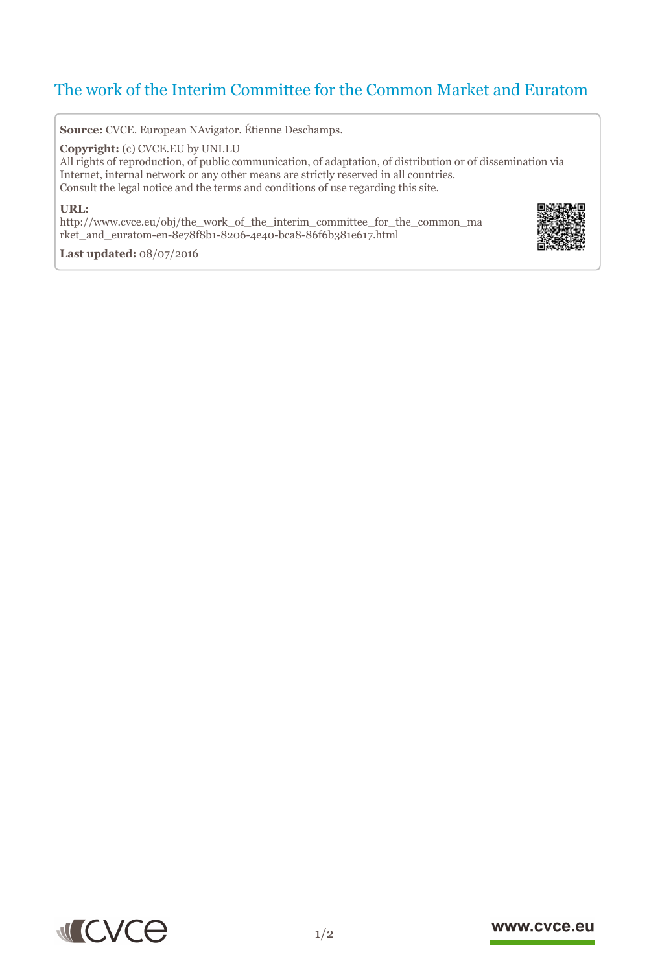# The work of the Interim Committee for the Common Market and Euratom

**Source:** CVCE. European NAvigator. Étienne Deschamps.

**Copyright:** (c) CVCE.EU by UNI.LU

All rights of reproduction, of public communication, of adaptation, of distribution or of dissemination via Internet, internal network or any other means are strictly reserved in all countries. Consult the legal notice and the terms and conditions of use regarding this site.

#### **URL:**

http://www.cvce.eu/obj/the\_work\_of\_the\_interim\_committee\_for\_the\_common\_ma rket[\\_and\\_euratom-en-8e78f8b1-8206-4e40-bca8-86f6b381e617.html](http://www.cvce.eu/obj/the_work_of_the_interim_committee_for_the_common_market_and_euratom-en-8e78f8b1-8206-4e40-bca8-86f6b381e617.html)



**Las[t updated:](http://www.cvce.eu/obj/the_work_of_the_interim_committee_for_the_common_market_and_euratom-en-8e78f8b1-8206-4e40-bca8-86f6b381e617.html)** 08/07/2016



### www.cvce.eu